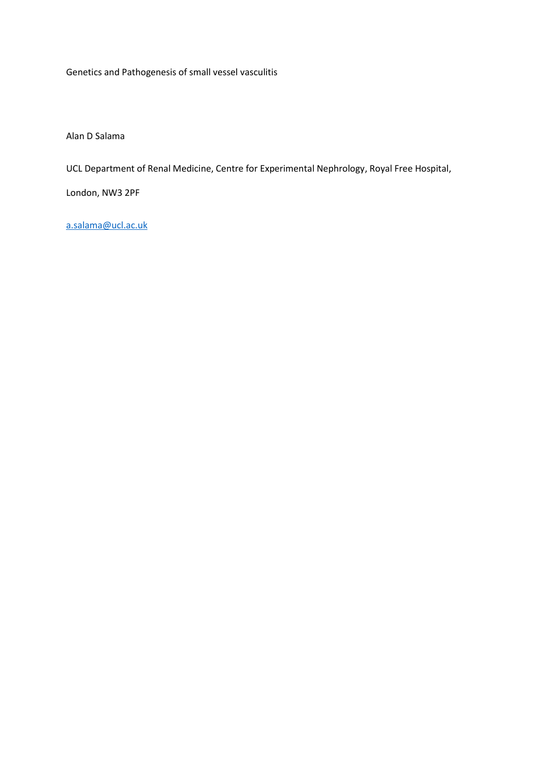Genetics and Pathogenesis of small vessel vasculitis

Alan D Salama

UCL Department of Renal Medicine, Centre for Experimental Nephrology, Royal Free Hospital,

London, NW3 2PF

[a.salama@ucl.ac.uk](mailto:a.salama@ucl.ac.uk)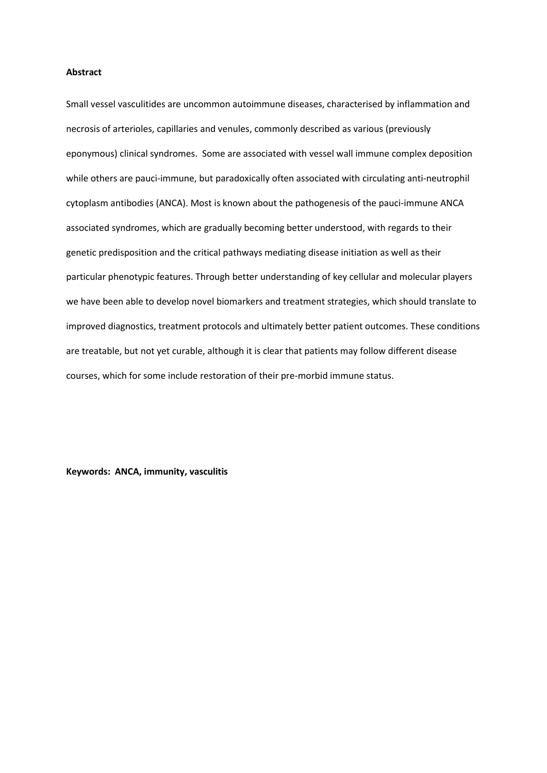## **Abstract**

Small vessel vasculitides are uncommon autoimmune diseases, characterised by inflammation and necrosis of arterioles, capillaries and venules, commonly described as various (previously eponymous) clinical syndromes. Some are associated with vessel wall immune complex deposition while others are pauci-immune, but paradoxically often associated with circulating anti-neutrophil cytoplasm antibodies (ANCA). Most is known about the pathogenesis of the pauci-immune ANCA associated syndromes, which are gradually becoming better understood, with regards to their genetic predisposition and the critical pathways mediating disease initiation as well as their particular phenotypic features. Through better understanding of key cellular and molecular players we have been able to develop novel biomarkers and treatment strategies, which should translate to improved diagnostics, treatment protocols and ultimately better patient outcomes. These conditions are treatable, but not yet curable, although it is clear that patients may follow different disease courses, which for some include restoration of their pre-morbid immune status.

**Keywords: ANCA, immunity, vasculitis**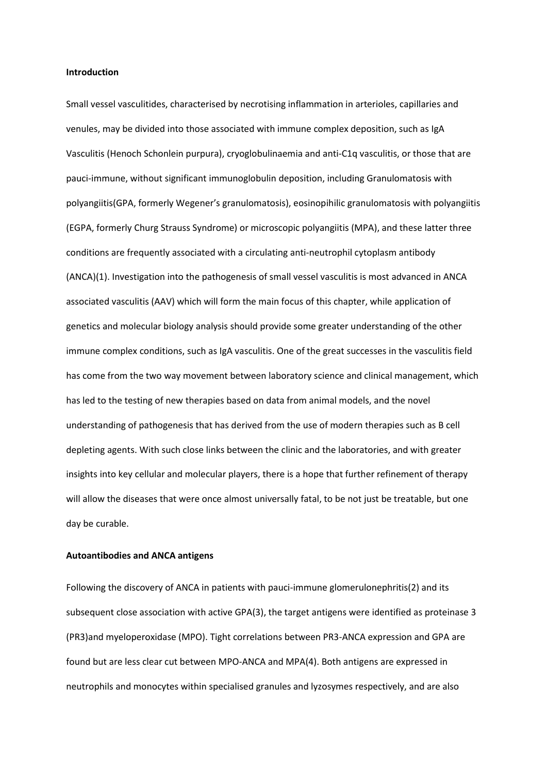## **Introduction**

Small vessel vasculitides, characterised by necrotising inflammation in arterioles, capillaries and venules, may be divided into those associated with immune complex deposition, such as IgA Vasculitis (Henoch Schonlein purpura), cryoglobulinaemia and anti-C1q vasculitis, or those that are pauci-immune, without significant immunoglobulin deposition, including Granulomatosis with polyangiitis(GPA, formerly Wegener's granulomatosis), eosinopihilic granulomatosis with polyangiitis (EGPA, formerly Churg Strauss Syndrome) or microscopic polyangiitis (MPA), and these latter three conditions are frequently associated with a circulating anti-neutrophil cytoplasm antibody (ANCA)(1). Investigation into the pathogenesis of small vessel vasculitis is most advanced in ANCA associated vasculitis (AAV) which will form the main focus of this chapter, while application of genetics and molecular biology analysis should provide some greater understanding of the other immune complex conditions, such as IgA vasculitis. One of the great successes in the vasculitis field has come from the two way movement between laboratory science and clinical management, which has led to the testing of new therapies based on data from animal models, and the novel understanding of pathogenesis that has derived from the use of modern therapies such as B cell depleting agents. With such close links between the clinic and the laboratories, and with greater insights into key cellular and molecular players, there is a hope that further refinement of therapy will allow the diseases that were once almost universally fatal, to be not just be treatable, but one day be curable.

#### **Autoantibodies and ANCA antigens**

Following the discovery of ANCA in patients with pauci-immune glomerulonephritis(2) and its subsequent close association with active GPA(3), the target antigens were identified as proteinase 3 (PR3)and myeloperoxidase (MPO). Tight correlations between PR3-ANCA expression and GPA are found but are less clear cut between MPO-ANCA and MPA(4). Both antigens are expressed in neutrophils and monocytes within specialised granules and lyzosymes respectively, and are also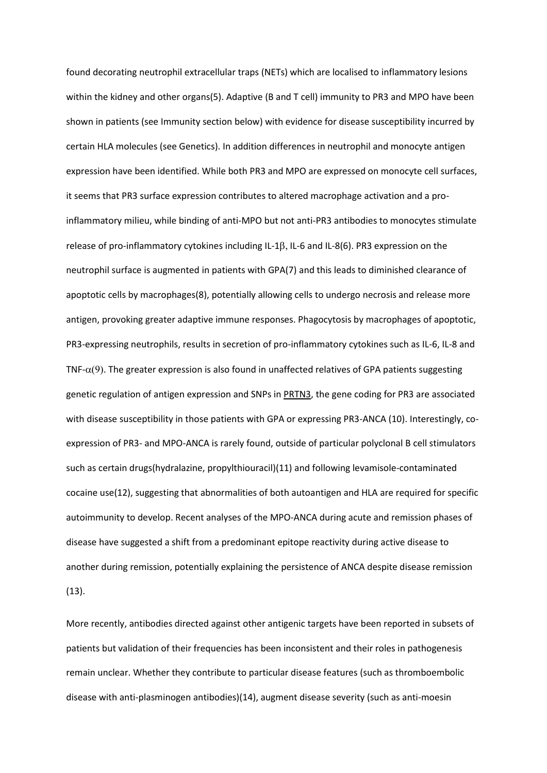found decorating neutrophil extracellular traps (NETs) which are localised to inflammatory lesions within the kidney and other organs(5). Adaptive (B and T cell) immunity to PR3 and MPO have been shown in patients (see Immunity section below) with evidence for disease susceptibility incurred by certain HLA molecules (see Genetics). In addition differences in neutrophil and monocyte antigen expression have been identified. While both PR3 and MPO are expressed on monocyte cell surfaces, it seems that PR3 surface expression contributes to altered macrophage activation and a proinflammatory milieu, while binding of anti-MPO but not anti-PR3 antibodies to monocytes stimulate release of pro-inflammatory cytokines including IL-1 $\beta$ , IL-6 and IL-8(6). PR3 expression on the neutrophil surface is augmented in patients with GPA(7) and this leads to diminished clearance of apoptotic cells by macrophages(8), potentially allowing cells to undergo necrosis and release more antigen, provoking greater adaptive immune responses. Phagocytosis by macrophages of apoptotic, PR3-expressing neutrophils, results in secretion of pro-inflammatory cytokines such as IL-6, IL-8 and TNF- $\alpha(9)$ . The greater expression is also found in unaffected relatives of GPA patients suggesting genetic regulation of antigen expression and SNPs in PRTN3, the gene coding for PR3 are associated with disease susceptibility in those patients with GPA or expressing PR3-ANCA (10). Interestingly, coexpression of PR3- and MPO-ANCA is rarely found, outside of particular polyclonal B cell stimulators such as certain drugs(hydralazine, propylthiouracil)(11) and following levamisole-contaminated cocaine use(12), suggesting that abnormalities of both autoantigen and HLA are required for specific autoimmunity to develop. Recent analyses of the MPO-ANCA during acute and remission phases of disease have suggested a shift from a predominant epitope reactivity during active disease to another during remission, potentially explaining the persistence of ANCA despite disease remission (13).

More recently, antibodies directed against other antigenic targets have been reported in subsets of patients but validation of their frequencies has been inconsistent and their roles in pathogenesis remain unclear. Whether they contribute to particular disease features (such as thromboembolic disease with anti-plasminogen antibodies)(14), augment disease severity (such as anti-moesin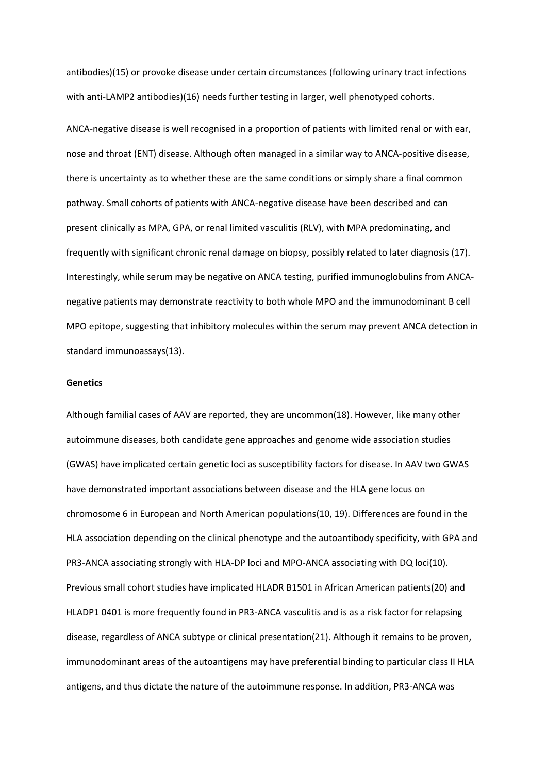antibodies)(15) or provoke disease under certain circumstances (following urinary tract infections with anti-LAMP2 antibodies)(16) needs further testing in larger, well phenotyped cohorts.

ANCA-negative disease is well recognised in a proportion of patients with limited renal or with ear, nose and throat (ENT) disease. Although often managed in a similar way to ANCA-positive disease, there is uncertainty as to whether these are the same conditions or simply share a final common pathway. Small cohorts of patients with ANCA-negative disease have been described and can present clinically as MPA, GPA, or renal limited vasculitis (RLV), with MPA predominating, and frequently with significant chronic renal damage on biopsy, possibly related to later diagnosis (17). Interestingly, while serum may be negative on ANCA testing, purified immunoglobulins from ANCAnegative patients may demonstrate reactivity to both whole MPO and the immunodominant B cell MPO epitope, suggesting that inhibitory molecules within the serum may prevent ANCA detection in standard immunoassays(13).

#### **Genetics**

Although familial cases of AAV are reported, they are uncommon(18). However, like many other autoimmune diseases, both candidate gene approaches and genome wide association studies (GWAS) have implicated certain genetic loci as susceptibility factors for disease. In AAV two GWAS have demonstrated important associations between disease and the HLA gene locus on chromosome 6 in European and North American populations(10, 19). Differences are found in the HLA association depending on the clinical phenotype and the autoantibody specificity, with GPA and PR3-ANCA associating strongly with HLA-DP loci and MPO-ANCA associating with DQ loci(10). Previous small cohort studies have implicated HLADR B1501 in African American patients(20) and HLADP1 0401 is more frequently found in PR3-ANCA vasculitis and is as a risk factor for relapsing disease, regardless of ANCA subtype or clinical presentation(21). Although it remains to be proven, immunodominant areas of the autoantigens may have preferential binding to particular class II HLA antigens, and thus dictate the nature of the autoimmune response. In addition, PR3-ANCA was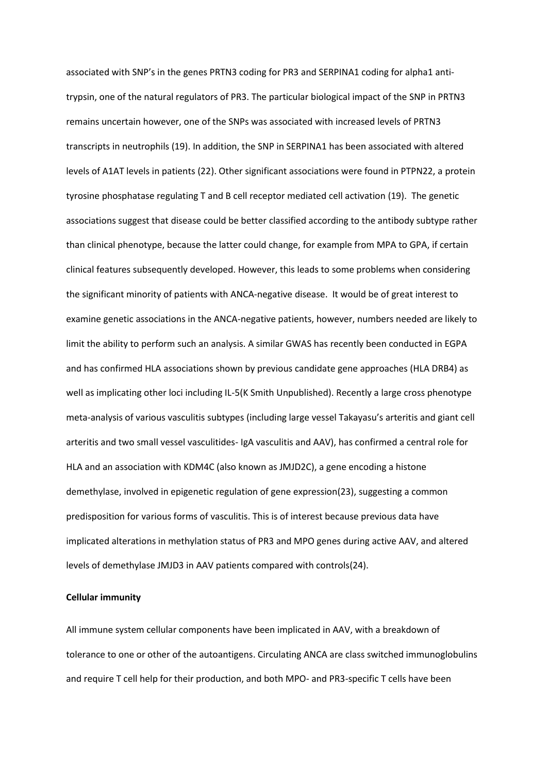associated with SNP's in the genes PRTN3 coding for PR3 and SERPINA1 coding for alpha1 antitrypsin, one of the natural regulators of PR3. The particular biological impact of the SNP in PRTN3 remains uncertain however, one of the SNPs was associated with increased levels of PRTN3 transcripts in neutrophils (19). In addition, the SNP in SERPINA1 has been associated with altered levels of A1AT levels in patients (22). Other significant associations were found in PTPN22, a protein tyrosine phosphatase regulating T and B cell receptor mediated cell activation (19). The genetic associations suggest that disease could be better classified according to the antibody subtype rather than clinical phenotype, because the latter could change, for example from MPA to GPA, if certain clinical features subsequently developed. However, this leads to some problems when considering the significant minority of patients with ANCA-negative disease. It would be of great interest to examine genetic associations in the ANCA-negative patients, however, numbers needed are likely to limit the ability to perform such an analysis. A similar GWAS has recently been conducted in EGPA and has confirmed HLA associations shown by previous candidate gene approaches (HLA DRB4) as well as implicating other loci including IL-5(K Smith Unpublished). Recently a large cross phenotype meta-analysis of various vasculitis subtypes (including large vessel Takayasu's arteritis and giant cell arteritis and two small vessel vasculitides- IgA vasculitis and AAV), has confirmed a central role for HLA and an association with KDM4C (also known as JMJD2C), a gene encoding a histone demethylase, involved in epigenetic regulation of gene expression(23), suggesting a common predisposition for various forms of vasculitis. This is of interest because previous data have implicated alterations in methylation status of PR3 and MPO genes during active AAV, and altered levels of demethylase JMJD3 in AAV patients compared with controls(24).

## **Cellular immunity**

All immune system cellular components have been implicated in AAV, with a breakdown of tolerance to one or other of the autoantigens. Circulating ANCA are class switched immunoglobulins and require T cell help for their production, and both MPO- and PR3-specific T cells have been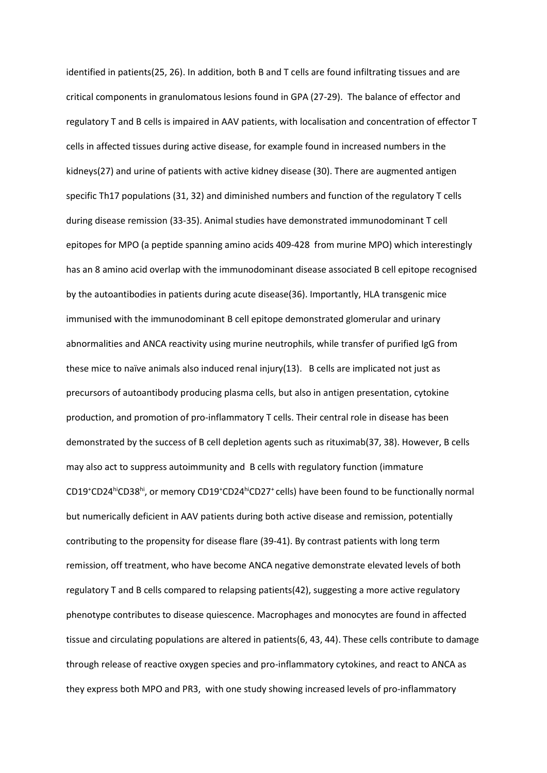identified in patients(25, 26). In addition, both B and T cells are found infiltrating tissues and are critical components in granulomatous lesions found in GPA (27-29). The balance of effector and regulatory T and B cells is impaired in AAV patients, with localisation and concentration of effector T cells in affected tissues during active disease, for example found in increased numbers in the kidneys(27) and urine of patients with active kidney disease (30). There are augmented antigen specific Th17 populations (31, 32) and diminished numbers and function of the regulatory T cells during disease remission (33-35). Animal studies have demonstrated immunodominant T cell epitopes for MPO (a peptide spanning amino acids 409-428 from murine MPO) which interestingly has an 8 amino acid overlap with the immunodominant disease associated B cell epitope recognised by the autoantibodies in patients during acute disease(36). Importantly, HLA transgenic mice immunised with the immunodominant B cell epitope demonstrated glomerular and urinary abnormalities and ANCA reactivity using murine neutrophils, while transfer of purified IgG from these mice to naïve animals also induced renal injury(13). B cells are implicated not just as precursors of autoantibody producing plasma cells, but also in antigen presentation, cytokine production, and promotion of pro-inflammatory T cells. Their central role in disease has been demonstrated by the success of B cell depletion agents such as rituximab(37, 38). However, B cells may also act to suppress autoimmunity and B cells with regulatory function (immature CD19<sup>+</sup>CD24<sup>hi</sup>CD38<sup>hi</sup>, or memory CD19<sup>+</sup>CD24<sup>hi</sup>CD27<sup>+</sup> cells) have been found to be functionally normal but numerically deficient in AAV patients during both active disease and remission, potentially contributing to the propensity for disease flare (39-41). By contrast patients with long term remission, off treatment, who have become ANCA negative demonstrate elevated levels of both regulatory T and B cells compared to relapsing patients(42), suggesting a more active regulatory phenotype contributes to disease quiescence. Macrophages and monocytes are found in affected tissue and circulating populations are altered in patients(6, 43, 44). These cells contribute to damage through release of reactive oxygen species and pro-inflammatory cytokines, and react to ANCA as they express both MPO and PR3, with one study showing increased levels of pro-inflammatory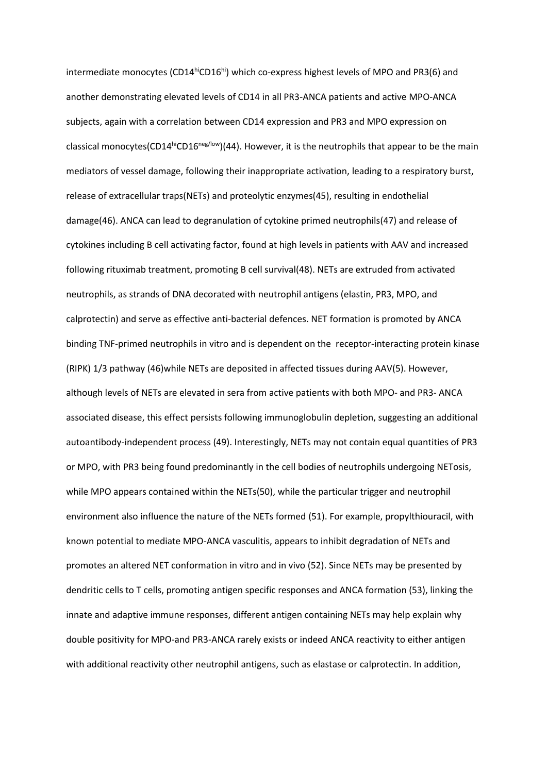intermediate monocytes (CD14 $^{\text{hi}}$ CD16 $^{\text{hi}}$ ) which co-express highest levels of MPO and PR3(6) and another demonstrating elevated levels of CD14 in all PR3-ANCA patients and active MPO-ANCA subjects, again with a correlation between CD14 expression and PR3 and MPO expression on classical monocytes(CD14hiCD16<sup>neg/low</sup>)(44). However, it is the neutrophils that appear to be the main mediators of vessel damage, following their inappropriate activation, leading to a respiratory burst, release of extracellular traps(NETs) and proteolytic enzymes(45), resulting in endothelial damage(46). ANCA can lead to degranulation of cytokine primed neutrophils(47) and release of cytokines including B cell activating factor, found at high levels in patients with AAV and increased following rituximab treatment, promoting B cell survival(48). NETs are extruded from activated neutrophils, as strands of DNA decorated with neutrophil antigens (elastin, PR3, MPO, and calprotectin) and serve as effective anti-bacterial defences. NET formation is promoted by ANCA binding TNF-primed neutrophils in vitro and is dependent on the receptor-interacting protein kinase (RIPK) 1/3 pathway (46)while NETs are deposited in affected tissues during AAV(5). However, although levels of NETs are elevated in sera from active patients with both MPO- and PR3- ANCA associated disease, this effect persists following immunoglobulin depletion, suggesting an additional autoantibody-independent process (49). Interestingly, NETs may not contain equal quantities of PR3 or MPO, with PR3 being found predominantly in the cell bodies of neutrophils undergoing NETosis, while MPO appears contained within the NETs(50), while the particular trigger and neutrophil environment also influence the nature of the NETs formed (51). For example, propylthiouracil, with known potential to mediate MPO-ANCA vasculitis, appears to inhibit degradation of NETs and promotes an altered NET conformation in vitro and in vivo (52). Since NETs may be presented by dendritic cells to T cells, promoting antigen specific responses and ANCA formation (53), linking the innate and adaptive immune responses, different antigen containing NETs may help explain why double positivity for MPO-and PR3-ANCA rarely exists or indeed ANCA reactivity to either antigen with additional reactivity other neutrophil antigens, such as elastase or calprotectin. In addition,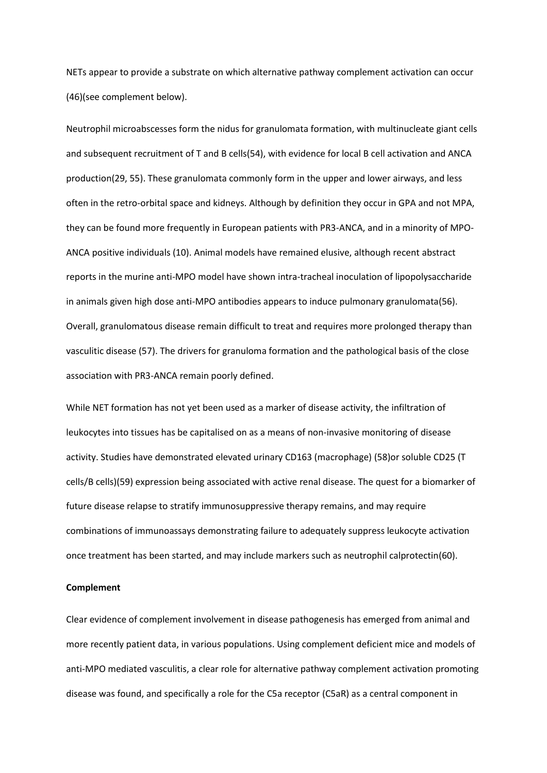NETs appear to provide a substrate on which alternative pathway complement activation can occur (46)(see complement below).

Neutrophil microabscesses form the nidus for granulomata formation, with multinucleate giant cells and subsequent recruitment of T and B cells(54), with evidence for local B cell activation and ANCA production(29, 55). These granulomata commonly form in the upper and lower airways, and less often in the retro-orbital space and kidneys. Although by definition they occur in GPA and not MPA, they can be found more frequently in European patients with PR3-ANCA, and in a minority of MPO-ANCA positive individuals (10). Animal models have remained elusive, although recent abstract reports in the murine anti-MPO model have shown intra-tracheal inoculation of lipopolysaccharide in animals given high dose anti-MPO antibodies appears to induce pulmonary granulomata(56). Overall, granulomatous disease remain difficult to treat and requires more prolonged therapy than vasculitic disease (57). The drivers for granuloma formation and the pathological basis of the close association with PR3-ANCA remain poorly defined.

While NET formation has not yet been used as a marker of disease activity, the infiltration of leukocytes into tissues has be capitalised on as a means of non-invasive monitoring of disease activity. Studies have demonstrated elevated urinary CD163 (macrophage) (58)or soluble CD25 (T cells/B cells)(59) expression being associated with active renal disease. The quest for a biomarker of future disease relapse to stratify immunosuppressive therapy remains, and may require combinations of immunoassays demonstrating failure to adequately suppress leukocyte activation once treatment has been started, and may include markers such as neutrophil calprotectin(60).

## **Complement**

Clear evidence of complement involvement in disease pathogenesis has emerged from animal and more recently patient data, in various populations. Using complement deficient mice and models of anti-MPO mediated vasculitis, a clear role for alternative pathway complement activation promoting disease was found, and specifically a role for the C5a receptor (C5aR) as a central component in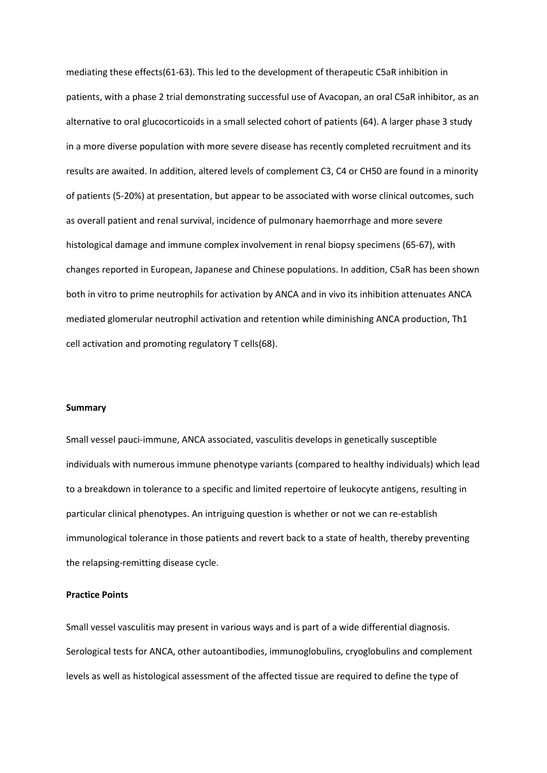mediating these effects(61-63). This led to the development of therapeutic C5aR inhibition in patients, with a phase 2 trial demonstrating successful use of Avacopan, an oral C5aR inhibitor, as an alternative to oral glucocorticoids in a small selected cohort of patients (64). A larger phase 3 study in a more diverse population with more severe disease has recently completed recruitment and its results are awaited. In addition, altered levels of complement C3, C4 or CH50 are found in a minority of patients (5-20%) at presentation, but appear to be associated with worse clinical outcomes, such as overall patient and renal survival, incidence of pulmonary haemorrhage and more severe histological damage and immune complex involvement in renal biopsy specimens (65-67), with changes reported in European, Japanese and Chinese populations. In addition, C5aR has been shown both in vitro to prime neutrophils for activation by ANCA and in vivo its inhibition attenuates ANCA mediated glomerular neutrophil activation and retention while diminishing ANCA production, Th1 cell activation and promoting regulatory T cells(68).

## **Summary**

Small vessel pauci-immune, ANCA associated, vasculitis develops in genetically susceptible individuals with numerous immune phenotype variants (compared to healthy individuals) which lead to a breakdown in tolerance to a specific and limited repertoire of leukocyte antigens, resulting in particular clinical phenotypes. An intriguing question is whether or not we can re-establish immunological tolerance in those patients and revert back to a state of health, thereby preventing the relapsing-remitting disease cycle.

# **Practice Points**

Small vessel vasculitis may present in various ways and is part of a wide differential diagnosis. Serological tests for ANCA, other autoantibodies, immunoglobulins, cryoglobulins and complement levels as well as histological assessment of the affected tissue are required to define the type of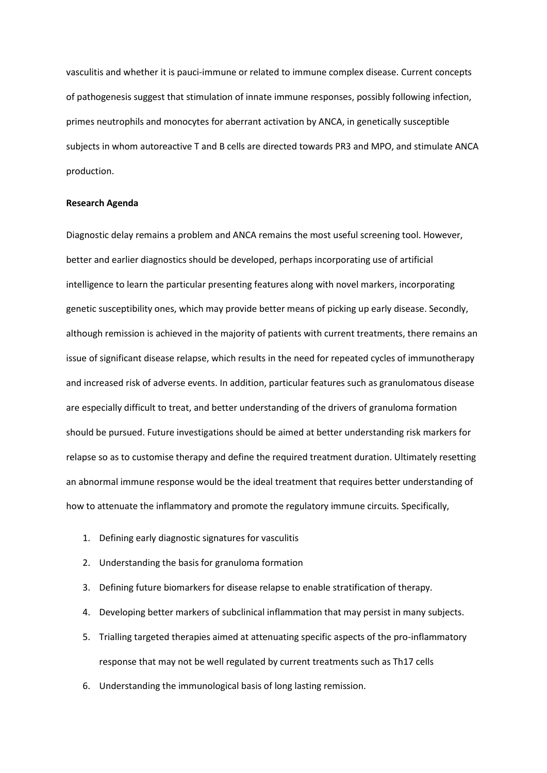vasculitis and whether it is pauci-immune or related to immune complex disease. Current concepts of pathogenesis suggest that stimulation of innate immune responses, possibly following infection, primes neutrophils and monocytes for aberrant activation by ANCA, in genetically susceptible subjects in whom autoreactive T and B cells are directed towards PR3 and MPO, and stimulate ANCA production.

#### **Research Agenda**

Diagnostic delay remains a problem and ANCA remains the most useful screening tool. However, better and earlier diagnostics should be developed, perhaps incorporating use of artificial intelligence to learn the particular presenting features along with novel markers, incorporating genetic susceptibility ones, which may provide better means of picking up early disease. Secondly, although remission is achieved in the majority of patients with current treatments, there remains an issue of significant disease relapse, which results in the need for repeated cycles of immunotherapy and increased risk of adverse events. In addition, particular features such as granulomatous disease are especially difficult to treat, and better understanding of the drivers of granuloma formation should be pursued. Future investigations should be aimed at better understanding risk markers for relapse so as to customise therapy and define the required treatment duration. Ultimately resetting an abnormal immune response would be the ideal treatment that requires better understanding of how to attenuate the inflammatory and promote the regulatory immune circuits. Specifically,

- 1. Defining early diagnostic signatures for vasculitis
- 2. Understanding the basis for granuloma formation
- 3. Defining future biomarkers for disease relapse to enable stratification of therapy.
- 4. Developing better markers of subclinical inflammation that may persist in many subjects.
- 5. Trialling targeted therapies aimed at attenuating specific aspects of the pro-inflammatory response that may not be well regulated by current treatments such as Th17 cells
- 6. Understanding the immunological basis of long lasting remission.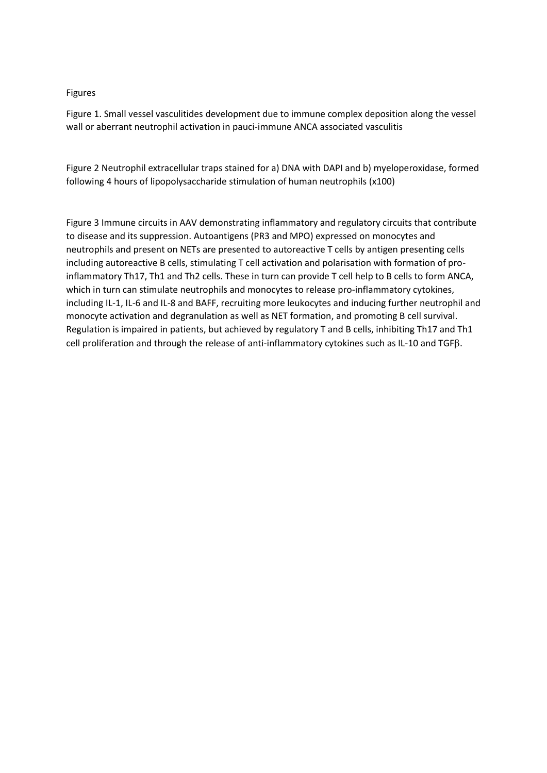# Figures

Figure 1. Small vessel vasculitides development due to immune complex deposition along the vessel wall or aberrant neutrophil activation in pauci-immune ANCA associated vasculitis

Figure 2 Neutrophil extracellular traps stained for a) DNA with DAPI and b) myeloperoxidase, formed following 4 hours of lipopolysaccharide stimulation of human neutrophils (x100)

Figure 3 Immune circuits in AAV demonstrating inflammatory and regulatory circuits that contribute to disease and its suppression. Autoantigens (PR3 and MPO) expressed on monocytes and neutrophils and present on NETs are presented to autoreactive T cells by antigen presenting cells including autoreactive B cells, stimulating T cell activation and polarisation with formation of proinflammatory Th17, Th1 and Th2 cells. These in turn can provide T cell help to B cells to form ANCA, which in turn can stimulate neutrophils and monocytes to release pro-inflammatory cytokines, including IL-1, IL-6 and IL-8 and BAFF, recruiting more leukocytes and inducing further neutrophil and monocyte activation and degranulation as well as NET formation, and promoting B cell survival. Regulation is impaired in patients, but achieved by regulatory T and B cells, inhibiting Th17 and Th1 cell proliferation and through the release of anti-inflammatory cytokines such as IL-10 and TGFß.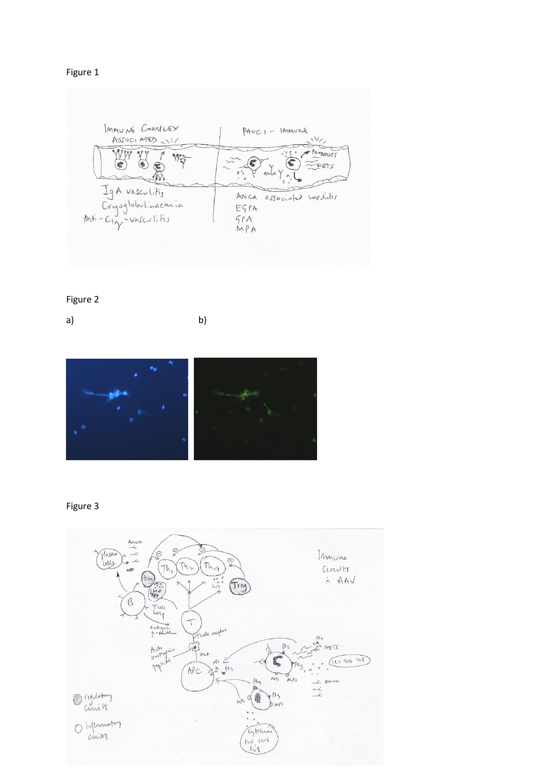Figure 1

| IMMUNE COMPLEX<br>ASSO(ATE)              | $PAVC1 - IMMVME$                 |
|------------------------------------------|----------------------------------|
| WE                                       | PRODUCT<br>X<br>AMA              |
| IgA vasculitis                           | ANCA associated variatis<br>EGPA |
| Cryoglobulinaemia<br>Anti-Cin-Vasculitis | 5P<br>MPA                        |

# Figure 2

a) b)



# Figure 3

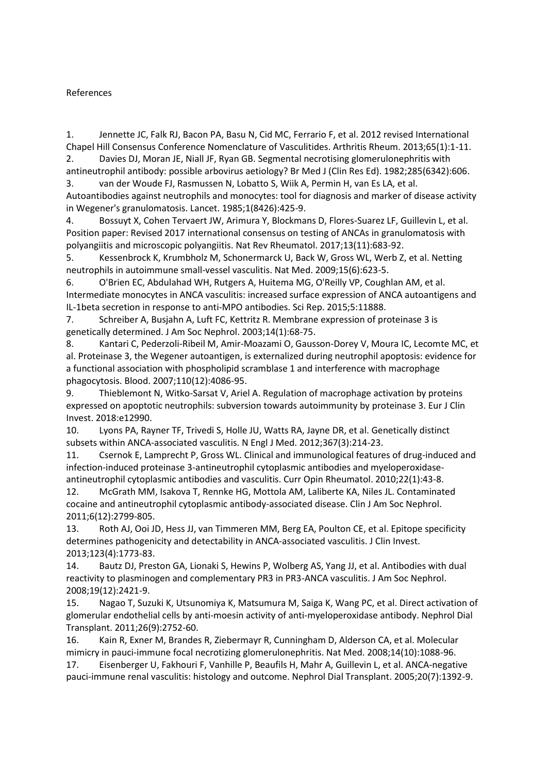# References

1. Jennette JC, Falk RJ, Bacon PA, Basu N, Cid MC, Ferrario F, et al. 2012 revised International Chapel Hill Consensus Conference Nomenclature of Vasculitides. Arthritis Rheum. 2013;65(1):1-11. 2. Davies DJ, Moran JE, Niall JF, Ryan GB. Segmental necrotising glomerulonephritis with

antineutrophil antibody: possible arbovirus aetiology? Br Med J (Clin Res Ed). 1982;285(6342):606. 3. van der Woude FJ, Rasmussen N, Lobatto S, Wiik A, Permin H, van Es LA, et al.

Autoantibodies against neutrophils and monocytes: tool for diagnosis and marker of disease activity in Wegener's granulomatosis. Lancet. 1985;1(8426):425-9.

4. Bossuyt X, Cohen Tervaert JW, Arimura Y, Blockmans D, Flores-Suarez LF, Guillevin L, et al. Position paper: Revised 2017 international consensus on testing of ANCAs in granulomatosis with polyangiitis and microscopic polyangiitis. Nat Rev Rheumatol. 2017;13(11):683-92.

5. Kessenbrock K, Krumbholz M, Schonermarck U, Back W, Gross WL, Werb Z, et al. Netting neutrophils in autoimmune small-vessel vasculitis. Nat Med. 2009;15(6):623-5.

6. O'Brien EC, Abdulahad WH, Rutgers A, Huitema MG, O'Reilly VP, Coughlan AM, et al. Intermediate monocytes in ANCA vasculitis: increased surface expression of ANCA autoantigens and IL-1beta secretion in response to anti-MPO antibodies. Sci Rep. 2015;5:11888.

7. Schreiber A, Busjahn A, Luft FC, Kettritz R. Membrane expression of proteinase 3 is genetically determined. J Am Soc Nephrol. 2003;14(1):68-75.

8. Kantari C, Pederzoli-Ribeil M, Amir-Moazami O, Gausson-Dorey V, Moura IC, Lecomte MC, et al. Proteinase 3, the Wegener autoantigen, is externalized during neutrophil apoptosis: evidence for a functional association with phospholipid scramblase 1 and interference with macrophage phagocytosis. Blood. 2007;110(12):4086-95.

9. Thieblemont N, Witko-Sarsat V, Ariel A. Regulation of macrophage activation by proteins expressed on apoptotic neutrophils: subversion towards autoimmunity by proteinase 3. Eur J Clin Invest. 2018:e12990.

10. Lyons PA, Rayner TF, Trivedi S, Holle JU, Watts RA, Jayne DR, et al. Genetically distinct subsets within ANCA-associated vasculitis. N Engl J Med. 2012;367(3):214-23.

11. Csernok E, Lamprecht P, Gross WL. Clinical and immunological features of drug-induced and infection-induced proteinase 3-antineutrophil cytoplasmic antibodies and myeloperoxidaseantineutrophil cytoplasmic antibodies and vasculitis. Curr Opin Rheumatol. 2010;22(1):43-8.

12. McGrath MM, Isakova T, Rennke HG, Mottola AM, Laliberte KA, Niles JL. Contaminated cocaine and antineutrophil cytoplasmic antibody-associated disease. Clin J Am Soc Nephrol. 2011;6(12):2799-805.

13. Roth AJ, Ooi JD, Hess JJ, van Timmeren MM, Berg EA, Poulton CE, et al. Epitope specificity determines pathogenicity and detectability in ANCA-associated vasculitis. J Clin Invest. 2013;123(4):1773-83.

14. Bautz DJ, Preston GA, Lionaki S, Hewins P, Wolberg AS, Yang JJ, et al. Antibodies with dual reactivity to plasminogen and complementary PR3 in PR3-ANCA vasculitis. J Am Soc Nephrol. 2008;19(12):2421-9.

15. Nagao T, Suzuki K, Utsunomiya K, Matsumura M, Saiga K, Wang PC, et al. Direct activation of glomerular endothelial cells by anti-moesin activity of anti-myeloperoxidase antibody. Nephrol Dial Transplant. 2011;26(9):2752-60.

16. Kain R, Exner M, Brandes R, Ziebermayr R, Cunningham D, Alderson CA, et al. Molecular mimicry in pauci-immune focal necrotizing glomerulonephritis. Nat Med. 2008;14(10):1088-96.

17. Eisenberger U, Fakhouri F, Vanhille P, Beaufils H, Mahr A, Guillevin L, et al. ANCA-negative pauci-immune renal vasculitis: histology and outcome. Nephrol Dial Transplant. 2005;20(7):1392-9.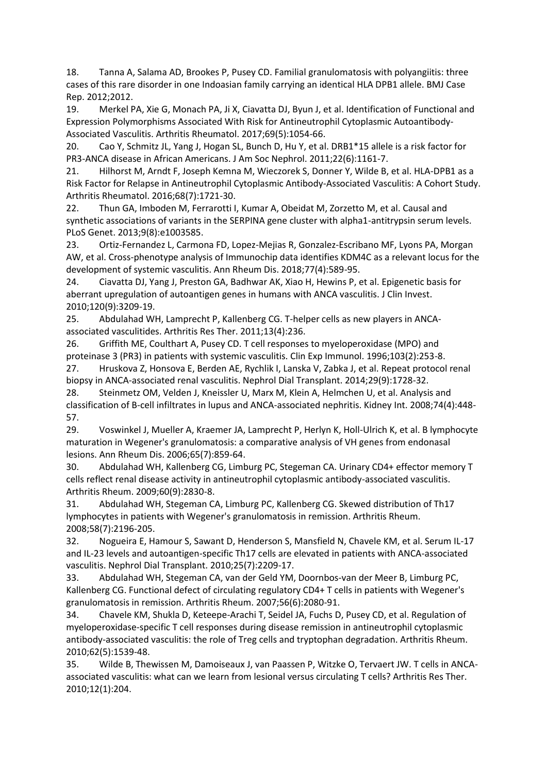18. Tanna A, Salama AD, Brookes P, Pusey CD. Familial granulomatosis with polyangiitis: three cases of this rare disorder in one Indoasian family carrying an identical HLA DPB1 allele. BMJ Case Rep. 2012;2012.

19. Merkel PA, Xie G, Monach PA, Ji X, Ciavatta DJ, Byun J, et al. Identification of Functional and Expression Polymorphisms Associated With Risk for Antineutrophil Cytoplasmic Autoantibody-Associated Vasculitis. Arthritis Rheumatol. 2017;69(5):1054-66.

20. Cao Y, Schmitz JL, Yang J, Hogan SL, Bunch D, Hu Y, et al. DRB1\*15 allele is a risk factor for PR3-ANCA disease in African Americans. J Am Soc Nephrol. 2011;22(6):1161-7.

21. Hilhorst M, Arndt F, Joseph Kemna M, Wieczorek S, Donner Y, Wilde B, et al. HLA-DPB1 as a Risk Factor for Relapse in Antineutrophil Cytoplasmic Antibody-Associated Vasculitis: A Cohort Study. Arthritis Rheumatol. 2016;68(7):1721-30.

22. Thun GA, Imboden M, Ferrarotti I, Kumar A, Obeidat M, Zorzetto M, et al. Causal and synthetic associations of variants in the SERPINA gene cluster with alpha1-antitrypsin serum levels. PLoS Genet. 2013;9(8):e1003585.

23. Ortiz-Fernandez L, Carmona FD, Lopez-Mejias R, Gonzalez-Escribano MF, Lyons PA, Morgan AW, et al. Cross-phenotype analysis of Immunochip data identifies KDM4C as a relevant locus for the development of systemic vasculitis. Ann Rheum Dis. 2018;77(4):589-95.

24. Ciavatta DJ, Yang J, Preston GA, Badhwar AK, Xiao H, Hewins P, et al. Epigenetic basis for aberrant upregulation of autoantigen genes in humans with ANCA vasculitis. J Clin Invest. 2010;120(9):3209-19.

25. Abdulahad WH, Lamprecht P, Kallenberg CG. T-helper cells as new players in ANCAassociated vasculitides. Arthritis Res Ther. 2011;13(4):236.

26. Griffith ME, Coulthart A, Pusey CD. T cell responses to myeloperoxidase (MPO) and proteinase 3 (PR3) in patients with systemic vasculitis. Clin Exp Immunol. 1996;103(2):253-8.

27. Hruskova Z, Honsova E, Berden AE, Rychlik I, Lanska V, Zabka J, et al. Repeat protocol renal biopsy in ANCA-associated renal vasculitis. Nephrol Dial Transplant. 2014;29(9):1728-32.

28. Steinmetz OM, Velden J, Kneissler U, Marx M, Klein A, Helmchen U, et al. Analysis and classification of B-cell infiltrates in lupus and ANCA-associated nephritis. Kidney Int. 2008;74(4):448- 57.

29. Voswinkel J, Mueller A, Kraemer JA, Lamprecht P, Herlyn K, Holl-Ulrich K, et al. B lymphocyte maturation in Wegener's granulomatosis: a comparative analysis of VH genes from endonasal lesions. Ann Rheum Dis. 2006;65(7):859-64.

30. Abdulahad WH, Kallenberg CG, Limburg PC, Stegeman CA. Urinary CD4+ effector memory T cells reflect renal disease activity in antineutrophil cytoplasmic antibody-associated vasculitis. Arthritis Rheum. 2009;60(9):2830-8.

31. Abdulahad WH, Stegeman CA, Limburg PC, Kallenberg CG. Skewed distribution of Th17 lymphocytes in patients with Wegener's granulomatosis in remission. Arthritis Rheum. 2008;58(7):2196-205.

32. Nogueira E, Hamour S, Sawant D, Henderson S, Mansfield N, Chavele KM, et al. Serum IL-17 and IL-23 levels and autoantigen-specific Th17 cells are elevated in patients with ANCA-associated vasculitis. Nephrol Dial Transplant. 2010;25(7):2209-17.

33. Abdulahad WH, Stegeman CA, van der Geld YM, Doornbos-van der Meer B, Limburg PC, Kallenberg CG. Functional defect of circulating regulatory CD4+ T cells in patients with Wegener's granulomatosis in remission. Arthritis Rheum. 2007;56(6):2080-91.

34. Chavele KM, Shukla D, Keteepe-Arachi T, Seidel JA, Fuchs D, Pusey CD, et al. Regulation of myeloperoxidase-specific T cell responses during disease remission in antineutrophil cytoplasmic antibody-associated vasculitis: the role of Treg cells and tryptophan degradation. Arthritis Rheum. 2010;62(5):1539-48.

35. Wilde B, Thewissen M, Damoiseaux J, van Paassen P, Witzke O, Tervaert JW. T cells in ANCAassociated vasculitis: what can we learn from lesional versus circulating T cells? Arthritis Res Ther. 2010;12(1):204.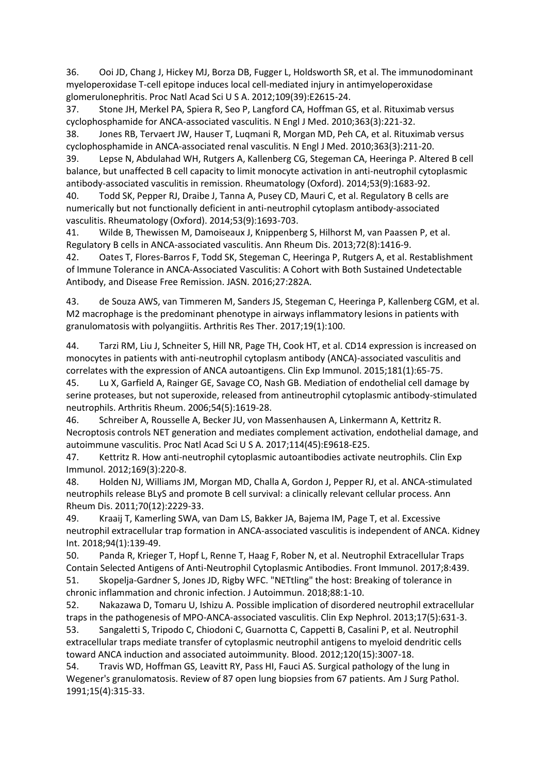36. Ooi JD, Chang J, Hickey MJ, Borza DB, Fugger L, Holdsworth SR, et al. The immunodominant myeloperoxidase T-cell epitope induces local cell-mediated injury in antimyeloperoxidase glomerulonephritis. Proc Natl Acad Sci U S A. 2012;109(39):E2615-24.

37. Stone JH, Merkel PA, Spiera R, Seo P, Langford CA, Hoffman GS, et al. Rituximab versus cyclophosphamide for ANCA-associated vasculitis. N Engl J Med. 2010;363(3):221-32.

38. Jones RB, Tervaert JW, Hauser T, Luqmani R, Morgan MD, Peh CA, et al. Rituximab versus cyclophosphamide in ANCA-associated renal vasculitis. N Engl J Med. 2010;363(3):211-20.

39. Lepse N, Abdulahad WH, Rutgers A, Kallenberg CG, Stegeman CA, Heeringa P. Altered B cell balance, but unaffected B cell capacity to limit monocyte activation in anti-neutrophil cytoplasmic antibody-associated vasculitis in remission. Rheumatology (Oxford). 2014;53(9):1683-92.

40. Todd SK, Pepper RJ, Draibe J, Tanna A, Pusey CD, Mauri C, et al. Regulatory B cells are numerically but not functionally deficient in anti-neutrophil cytoplasm antibody-associated vasculitis. Rheumatology (Oxford). 2014;53(9):1693-703.

41. Wilde B, Thewissen M, Damoiseaux J, Knippenberg S, Hilhorst M, van Paassen P, et al. Regulatory B cells in ANCA-associated vasculitis. Ann Rheum Dis. 2013;72(8):1416-9.

42. Oates T, Flores-Barros F, Todd SK, Stegeman C, Heeringa P, Rutgers A, et al. Restablishment of Immune Tolerance in ANCA-Associated Vasculitis: A Cohort with Both Sustained Undetectable Antibody, and Disease Free Remission. JASN. 2016;27:282A.

43. de Souza AWS, van Timmeren M, Sanders JS, Stegeman C, Heeringa P, Kallenberg CGM, et al. M2 macrophage is the predominant phenotype in airways inflammatory lesions in patients with granulomatosis with polyangiitis. Arthritis Res Ther. 2017;19(1):100.

44. Tarzi RM, Liu J, Schneiter S, Hill NR, Page TH, Cook HT, et al. CD14 expression is increased on monocytes in patients with anti-neutrophil cytoplasm antibody (ANCA)-associated vasculitis and correlates with the expression of ANCA autoantigens. Clin Exp Immunol. 2015;181(1):65-75.

45. Lu X, Garfield A, Rainger GE, Savage CO, Nash GB. Mediation of endothelial cell damage by serine proteases, but not superoxide, released from antineutrophil cytoplasmic antibody-stimulated neutrophils. Arthritis Rheum. 2006;54(5):1619-28.

46. Schreiber A, Rousselle A, Becker JU, von Massenhausen A, Linkermann A, Kettritz R. Necroptosis controls NET generation and mediates complement activation, endothelial damage, and autoimmune vasculitis. Proc Natl Acad Sci U S A. 2017;114(45):E9618-E25.

47. Kettritz R. How anti-neutrophil cytoplasmic autoantibodies activate neutrophils. Clin Exp Immunol. 2012;169(3):220-8.

48. Holden NJ, Williams JM, Morgan MD, Challa A, Gordon J, Pepper RJ, et al. ANCA-stimulated neutrophils release BLyS and promote B cell survival: a clinically relevant cellular process. Ann Rheum Dis. 2011;70(12):2229-33.

49. Kraaij T, Kamerling SWA, van Dam LS, Bakker JA, Bajema IM, Page T, et al. Excessive neutrophil extracellular trap formation in ANCA-associated vasculitis is independent of ANCA. Kidney Int. 2018;94(1):139-49.

50. Panda R, Krieger T, Hopf L, Renne T, Haag F, Rober N, et al. Neutrophil Extracellular Traps Contain Selected Antigens of Anti-Neutrophil Cytoplasmic Antibodies. Front Immunol. 2017;8:439. 51. Skopelja-Gardner S, Jones JD, Rigby WFC. "NETtling" the host: Breaking of tolerance in

chronic inflammation and chronic infection. J Autoimmun. 2018;88:1-10.

52. Nakazawa D, Tomaru U, Ishizu A. Possible implication of disordered neutrophil extracellular traps in the pathogenesis of MPO-ANCA-associated vasculitis. Clin Exp Nephrol. 2013;17(5):631-3.

53. Sangaletti S, Tripodo C, Chiodoni C, Guarnotta C, Cappetti B, Casalini P, et al. Neutrophil extracellular traps mediate transfer of cytoplasmic neutrophil antigens to myeloid dendritic cells toward ANCA induction and associated autoimmunity. Blood. 2012;120(15):3007-18.

54. Travis WD, Hoffman GS, Leavitt RY, Pass HI, Fauci AS. Surgical pathology of the lung in Wegener's granulomatosis. Review of 87 open lung biopsies from 67 patients. Am J Surg Pathol. 1991;15(4):315-33.